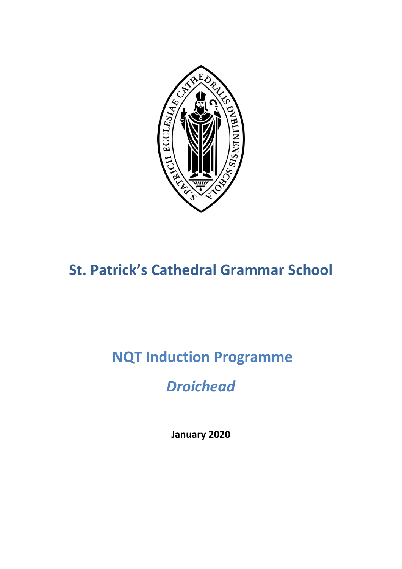

# **St. Patrick's Cathedral Grammar School**

# **NQT Induction Programme**

## *Droichead*

**January 2020**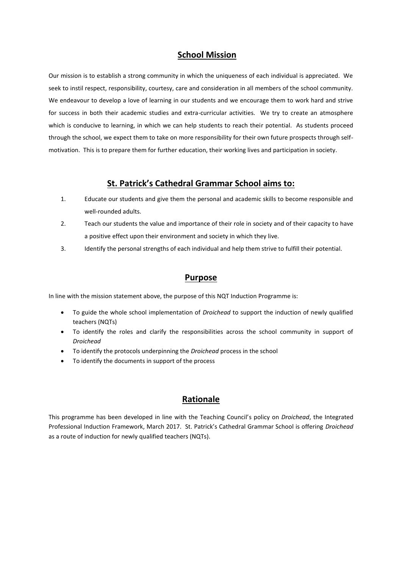#### **School Mission**

Our mission is to establish a strong community in which the uniqueness of each individual is appreciated. We seek to instil respect, responsibility, courtesy, care and consideration in all members of the school community. We endeavour to develop a love of learning in our students and we encourage them to work hard and strive for success in both their academic studies and extra-curricular activities. We try to create an atmosphere which is conducive to learning, in which we can help students to reach their potential. As students proceed through the school, we expect them to take on more responsibility for their own future prospects through selfmotivation. This is to prepare them for further education, their working lives and participation in society.

#### **St. Patrick's Cathedral Grammar School aims to:**

- 1. Educate our students and give them the personal and academic skills to become responsible and well-rounded adults.
- 2. Teach our students the value and importance of their role in society and of their capacity to have a positive effect upon their environment and society in which they live.
- 3. Identify the personal strengths of each individual and help them strive to fulfill their potential.

#### **Purpose**

In line with the mission statement above, the purpose of this NQT Induction Programme is:

- To guide the whole school implementation of *Droichead* to support the induction of newly qualified teachers (NQTs)
- To identify the roles and clarify the responsibilities across the school community in support of *Droichead*
- To identify the protocols underpinning the *Droichead* process in the school
- To identify the documents in support of the process

### **Rationale**

This programme has been developed in line with the Teaching Council's policy on *Droichead*, the Integrated Professional Induction Framework, March 2017. St. Patrick's Cathedral Grammar School is offering *Droichead*  as a route of induction for newly qualified teachers (NQTs).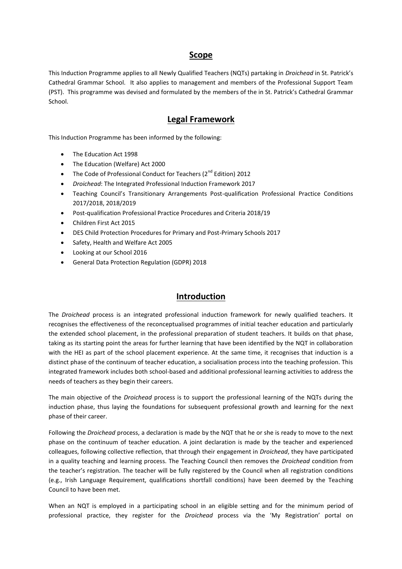#### **Scope**

This Induction Programme applies to all Newly Qualified Teachers (NQTs) partaking in *Droichead* in St. Patrick's Cathedral Grammar School. It also applies to management and members of the Professional Support Team (PST). This programme was devised and formulated by the members of the in St. Patrick's Cathedral Grammar School.

#### **Legal Framework**

This Induction Programme has been informed by the following:

- The Education Act 1998
- The Education (Welfare) Act 2000
- The Code of Professional Conduct for Teachers ( $2^{nd}$  Edition) 2012
- *Droichead*: The Integrated Professional Induction Framework 2017
- Teaching Council's Transitionary Arrangements Post-qualification Professional Practice Conditions 2017/2018, 2018/2019
- Post-qualification Professional Practice Procedures and Criteria 2018/19
- Children First Act 2015
- DES Child Protection Procedures for Primary and Post-Primary Schools 2017
- Safety, Health and Welfare Act 2005
- Looking at our School 2016
- General Data Protection Regulation (GDPR) 2018

#### **Introduction**

The *Droichead* process is an integrated professional induction framework for newly qualified teachers. It recognises the effectiveness of the reconceptualised programmes of initial teacher education and particularly the extended school placement, in the professional preparation of student teachers. It builds on that phase, taking as its starting point the areas for further learning that have been identified by the NQT in collaboration with the HEI as part of the school placement experience. At the same time, it recognises that induction is a distinct phase of the continuum of teacher education, a socialisation process into the teaching profession. This integrated framework includes both school-based and additional professional learning activities to address the needs of teachers as they begin their careers.

The main objective of the *Droichead* process is to support the professional learning of the NQTs during the induction phase, thus laying the foundations for subsequent professional growth and learning for the next phase of their career.

Following the *Droichead* process, a declaration is made by the NQT that he or she is ready to move to the next phase on the continuum of teacher education. A joint declaration is made by the teacher and experienced colleagues, following collective reflection, that through their engagement in *Droichead*, they have participated in a quality teaching and learning process. The Teaching Council then removes the *Droichead* condition from the teacher's registration. The teacher will be fully registered by the Council when all registration conditions (e.g., Irish Language Requirement, qualifications shortfall conditions) have been deemed by the Teaching Council to have been met.

When an NQT is employed in a participating school in an eligible setting and for the minimum period of professional practice, they register for the *Droichead* process via the 'My Registration' portal on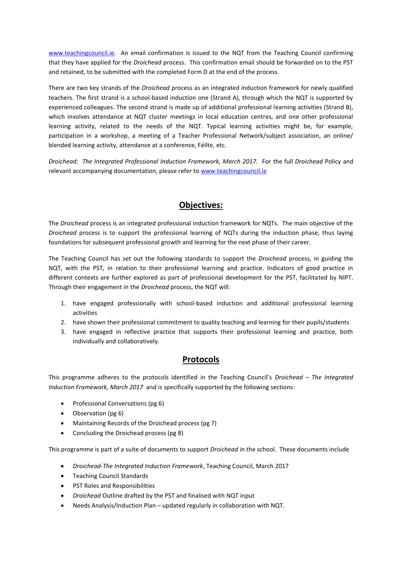[www.teachingcouncil.ie.](http://www.teachingcouncil.ie/) An email confirmation is issued to the NQT from the Teaching Council confirming that they have applied for the *Droichead* process. This confirmation email should be forwarded on to the PST and retained, to be submitted with the completed Form D at the end of the process.

There are two key strands of the *Droichead* process as an integrated induction framework for newly qualified teachers. The first strand is a school-based induction one (Strand A), through which the NQT is supported by experienced colleagues. The second strand is made up of additional professional learning activities (Strand B), which involves attendance at NQT cluster meetings in local education centres, and one other professional learning activity, related to the needs of the NQT. Typical learning activities might be, for example, participation in a workshop, a meeting of a Teacher Professional Network/subject association, an online/ blended learning activity, attendance at a conference, Féilte, etc.

*Droichead: The Integrated Professional Induction Framework, March 2017.* For the full *Droichead* Policy and relevant accompanying documentation, please refer t[o www.teachingcouncil.ie](http://www.teachingcouncil.ie/)

#### **Objectives:**

The *Droichead* process is an integrated professional induction framework for NQTs. The main objective of the *Droichead* process is to support the professional learning of NQTs during the induction phase, thus laying foundations for subsequent professional growth and learning for the next phase of their career.

The Teaching Council has set out the following standards to support the *Droichead* process, in guiding the NQT, with the PST, in relation to their professional learning and practice. Indicators of good practice in different contexts are further explored as part of professional development for the PST, facilitated by NIPT. Through their engagement in the *Droichead* process, the NQT will:

- 1. have engaged professionally with school-based induction and additional professional learning activities
- 2. have shown their professional commitment to quality teaching and learning for their pupils/students
- 3. have engaged in reflective practice that supports their professional learning and practice, both individually and collaboratively.

### **Protocols**

This programme adheres to the protocols identified in the Teaching Council's *Droichead – The Integrated Induction Framework, March 2017* and is specifically supported by the following sections:

- Professional Conversations (pg 6)
- Observation (pg 6)
- Maintaining Records of the Droichead process (pg 7)
- Concluding the Droichead process (pg 8)

This programme is part of a suite of documents to support *Droichead* in the school. These documents include

- *Droichead-The Integrated Induction Framework*, Teaching Council, March 2017
- **•** Teaching Council Standards
- PST Roles and Responsibilities
- *Droichead* Outline drafted by the PST and finalised with NQT input
- Needs Analysis/Induction Plan updated regularly in collaboration with NQT.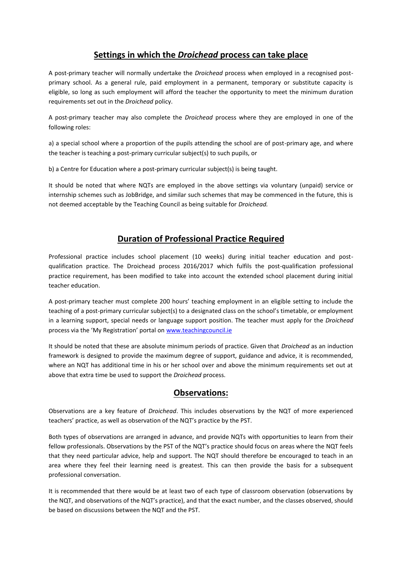## **Settings in which the** *Droichead* **process can take place**

A post-primary teacher will normally undertake the *Droichead* process when employed in a recognised postprimary school. As a general rule, paid employment in a permanent, temporary or substitute capacity is eligible, so long as such employment will afford the teacher the opportunity to meet the minimum duration requirements set out in the *Droichead* policy.

A post-primary teacher may also complete the *Droichead* process where they are employed in one of the following roles:

a) a special school where a proportion of the pupils attending the school are of post-primary age, and where the teacher is teaching a post-primary curricular subject(s) to such pupils, or

b) a Centre for Education where a post-primary curricular subject(s) is being taught.

It should be noted that where NQTs are employed in the above settings via voluntary (unpaid) service or internship schemes such as JobBridge, and similar such schemes that may be commenced in the future, this is not deemed acceptable by the Teaching Council as being suitable for *Droichead.*

### **Duration of Professional Practice Required**

Professional practice includes school placement (10 weeks) during initial teacher education and postqualification practice. The Droichead process 2016/2017 which fulfils the post-qualification professional practice requirement, has been modified to take into account the extended school placement during initial teacher education.

A post-primary teacher must complete 200 hours' teaching employment in an eligible setting to include the teaching of a post-primary curricular subject(s) to a designated class on the school's timetable, or employment in a learning support, special needs or language support position. The teacher must apply for the *Droichead* process via the 'My Registration' portal on [www.teachingcouncil.ie](http://www.teachingcouncil.ie/)

It should be noted that these are absolute minimum periods of practice. Given that *Droichead* as an induction framework is designed to provide the maximum degree of support, guidance and advice, it is recommended, where an NQT has additional time in his or her school over and above the minimum requirements set out at above that extra time be used to support the *Droichead* process.

### **Observations:**

Observations are a key feature of *Droichead*. This includes observations by the NQT of more experienced teachers' practice, as well as observation of the NQT's practice by the PST.

Both types of observations are arranged in advance, and provide NQTs with opportunities to learn from their fellow professionals. Observations by the PST of the NQT's practice should focus on areas where the NQT feels that they need particular advice, help and support. The NQT should therefore be encouraged to teach in an area where they feel their learning need is greatest. This can then provide the basis for a subsequent professional conversation.

It is recommended that there would be at least two of each type of classroom observation (observations by the NQT, and observations of the NQT's practice), and that the exact number, and the classes observed, should be based on discussions between the NQT and the PST.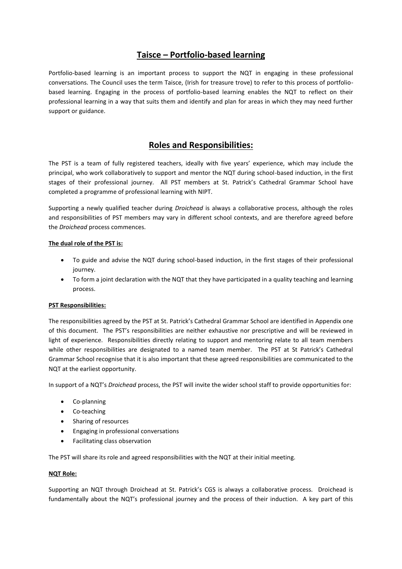## **Taisce – Portfolio-based learning**

Portfolio-based learning is an important process to support the NQT in engaging in these professional conversations. The Council uses the term Taisce, (Irish for treasure trove) to refer to this process of portfoliobased learning. Engaging in the process of portfolio-based learning enables the NQT to reflect on their professional learning in a way that suits them and identify and plan for areas in which they may need further support or guidance.

## **Roles and Responsibilities:**

The PST is a team of fully registered teachers, ideally with five years' experience, which may include the principal, who work collaboratively to support and mentor the NQT during school-based induction, in the first stages of their professional journey. All PST members at St. Patrick's Cathedral Grammar School have completed a programme of professional learning with NIPT.

Supporting a newly qualified teacher during *Droichead* is always a collaborative process, although the roles and responsibilities of PST members may vary in different school contexts, and are therefore agreed before the *Droichead* process commences.

#### **The dual role of the PST is:**

- To guide and advise the NQT during school-based induction, in the first stages of their professional journey.
- To form a joint declaration with the NQT that they have participated in a quality teaching and learning process.

#### **PST Responsibilities:**

The responsibilities agreed by the PST at St. Patrick's Cathedral Grammar School are identified in Appendix one of this document. The PST's responsibilities are neither exhaustive nor prescriptive and will be reviewed in light of experience. Responsibilities directly relating to support and mentoring relate to all team members while other responsibilities are designated to a named team member. The PST at St Patrick's Cathedral Grammar School recognise that it is also important that these agreed responsibilities are communicated to the NQT at the earliest opportunity.

In support of a NQT's *Droichead* process, the PST will invite the wider school staff to provide opportunities for:

- Co-planning
- Co-teaching
- Sharing of resources
- Engaging in professional conversations
- Facilitating class observation

The PST will share its role and agreed responsibilities with the NQT at their initial meeting.

#### **NQT Role:**

Supporting an NQT through Droichead at St. Patrick's CGS is always a collaborative process. Droichead is fundamentally about the NQT's professional journey and the process of their induction. A key part of this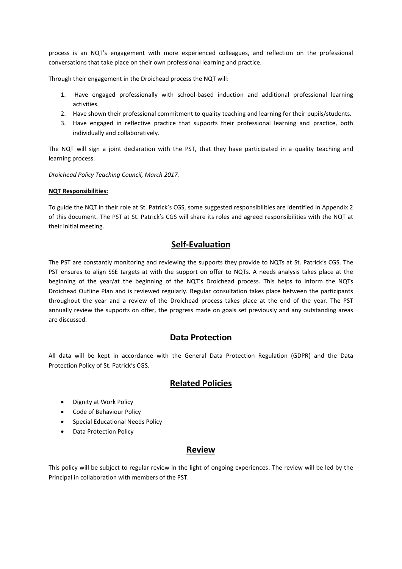process is an NQT's engagement with more experienced colleagues, and reflection on the professional conversations that take place on their own professional learning and practice.

Through their engagement in the Droichead process the NQT will:

- 1. Have engaged professionally with school-based induction and additional professional learning activities.
- 2. Have shown their professional commitment to quality teaching and learning for their pupils/students.
- 3. Have engaged in reflective practice that supports their professional learning and practice, both individually and collaboratively.

The NQT will sign a joint declaration with the PST, that they have participated in a quality teaching and learning process.

*Droichead Policy Teaching Council, March 2017.*

#### **NQT Responsibilities:**

To guide the NQT in their role at St. Patrick's CGS, some suggested responsibilities are identified in Appendix 2 of this document. The PST at St. Patrick's CGS will share its roles and agreed responsibilities with the NQT at their initial meeting.

### **Self-Evaluation**

The PST are constantly monitoring and reviewing the supports they provide to NQTs at St. Patrick's CGS. The PST ensures to align SSE targets at with the support on offer to NQTs. A needs analysis takes place at the beginning of the year/at the beginning of the NQT's Droichead process. This helps to inform the NQTs Droichead Outline Plan and is reviewed regularly. Regular consultation takes place between the participants throughout the year and a review of the Droichead process takes place at the end of the year. The PST annually review the supports on offer, the progress made on goals set previously and any outstanding areas are discussed.

### **Data Protection**

All data will be kept in accordance with the General Data Protection Regulation (GDPR) and the Data Protection Policy of St. Patrick's CGS.

#### **Related Policies**

- Dignity at Work Policy
- Code of Behaviour Policy
- **•** Special Educational Needs Policy
- Data Protection Policy

### **Review**

This policy will be subject to regular review in the light of ongoing experiences. The review will be led by the Principal in collaboration with members of the PST.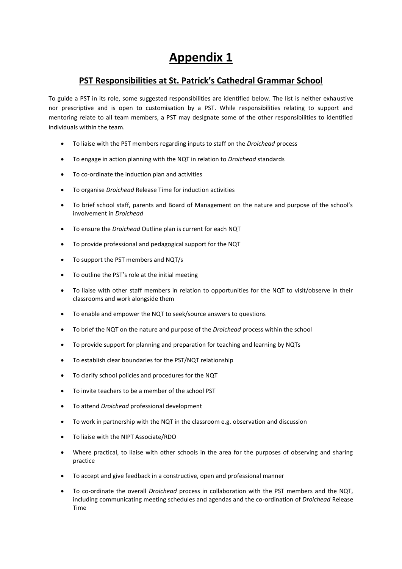## **Appendix 1**

## **PST Responsibilities at St. Patrick's Cathedral Grammar School**

To guide a PST in its role, some suggested responsibilities are identified below. The list is neither exhaustive nor prescriptive and is open to customisation by a PST. While responsibilities relating to support and mentoring relate to all team members, a PST may designate some of the other responsibilities to identified individuals within the team.

- To liaise with the PST members regarding inputs to staff on the *Droichead* process
- To engage in action planning with the NQT in relation to *Droichead* standards
- To co-ordinate the induction plan and activities
- To organise *Droichead* Release Time for induction activities
- To brief school staff, parents and Board of Management on the nature and purpose of the school's involvement in *Droichead*
- To ensure the *Droichead* Outline plan is current for each NQT
- To provide professional and pedagogical support for the NQT
- To support the PST members and NQT/s
- To outline the PST's role at the initial meeting
- To liaise with other staff members in relation to opportunities for the NQT to visit/observe in their classrooms and work alongside them
- To enable and empower the NQT to seek/source answers to questions
- To brief the NQT on the nature and purpose of the *Droichead* process within the school
- To provide support for planning and preparation for teaching and learning by NQTs
- To establish clear boundaries for the PST/NQT relationship
- To clarify school policies and procedures for the NQT
- To invite teachers to be a member of the school PST
- To attend *Droichead* professional development
- To work in partnership with the NQT in the classroom e.g. observation and discussion
- To liaise with the NIPT Associate/RDO
- Where practical, to liaise with other schools in the area for the purposes of observing and sharing practice
- To accept and give feedback in a constructive, open and professional manner
- To co-ordinate the overall *Droichead* process in collaboration with the PST members and the NQT, including communicating meeting schedules and agendas and the co-ordination of *Droichead* Release Time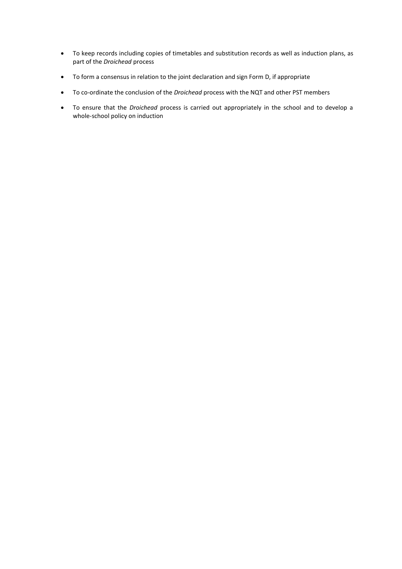- To keep records including copies of timetables and substitution records as well as induction plans, as part of the *Droichead* process
- To form a consensus in relation to the joint declaration and sign Form D, if appropriate
- To co-ordinate the conclusion of the *Droichead* process with the NQT and other PST members
- To ensure that the *Droichead* process is carried out appropriately in the school and to develop a whole-school policy on induction